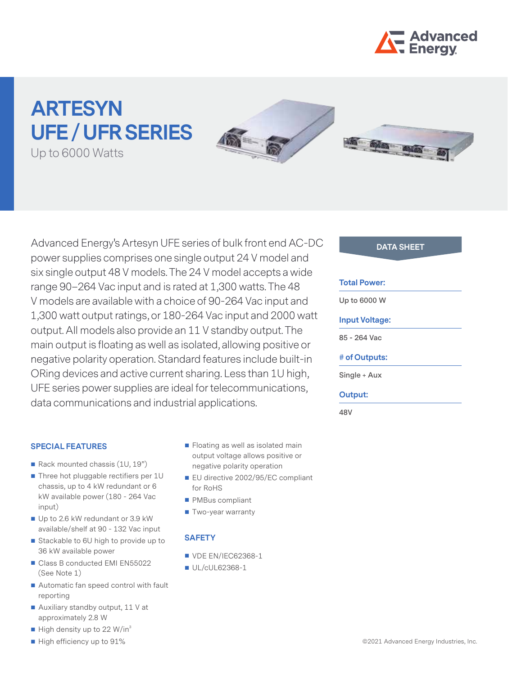

# **ARTESYN UFE / UFR SERIES**







Advanced Energy's Artesyn UFE series of bulk front end AC-DC **DATA SHEET** power supplies comprises one single output 24 V model and six single output 48 V models. The 24 V model accepts a wide range 90–264 Vac input and is rated at 1,300 watts. The 48 V models are available with a choice of 90-264 Vac input and 1,300 watt output ratings, or 180-264 Vac input and 2000 watt output. All models also provide an 11 V standby output. The main output is floating as well as isolated, allowing positive or negative polarity operation. Standard features include built-in ORing devices and active current sharing. Less than 1U high, UFE series power supplies are ideal for telecommunications, data communications and industrial applications.

#### **SPECIAL FEATURES**

- Rack mounted chassis (1U, 19")
- Three hot pluggable rectifiers per 1U chassis, up to 4 kW redundant or 6 kW available power (180 - 264 Vac input)
- Up to 2.6 kW redundant or 3.9 kW available/shelf at 90 - 132 Vac input
- Stackable to 6U high to provide up to 36 kW available power
- Class B conducted EMI EN55022 (See Note 1)
- Automatic fan speed control with fault reporting
- Auxiliary standby output, 11 V at approximately 2.8 W
- $\blacksquare$  High density up to 22 W/in<sup>3</sup>
- High efficiency up to 91%
- **Floating as well as isolated main** output voltage allows positive or negative polarity operation
- EU directive 2002/95/EC compliant for RoHS
- **PMBus compliant**
- Two-year warranty

#### **SAFETY**

- **VDE EN/IEC62368-1**
- UL/cUL62368-1

#### **Total Power:**

**Up to 6000 W**

#### **Input Voltage:**

**85 - 264 Vac**

#### **# of Outputs:**

**Single + Aux**

#### **Output:**

**48V**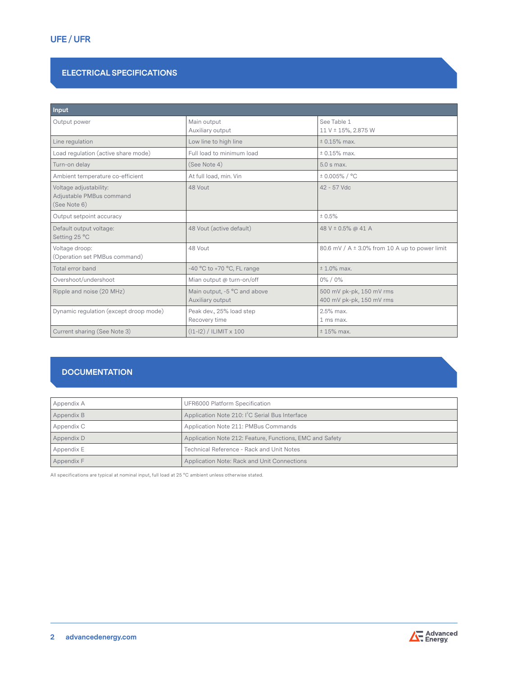# **ELECTRICAL SPECIFICATIONS**

| Input                                                              |                                                  |                                                      |
|--------------------------------------------------------------------|--------------------------------------------------|------------------------------------------------------|
| Output power                                                       | Main output<br>Auxiliary output                  | See Table 1<br>11 V ± 15%, 2,875 W                   |
| Line regulation                                                    | Low line to high line                            | $± 0.15%$ max.                                       |
| Load regulation (active share mode)                                | Full load to minimum load                        | $± 0.15%$ max.                                       |
| Turn-on delay                                                      | (See Note 4)                                     | $5.0$ s max.                                         |
| Ambient temperature co-efficient                                   | At full load, min. Vin                           | $± 0.005\% / °C$                                     |
| Voltage adjustability:<br>Adjustable PMBus command<br>(See Note 6) | 48 Vout                                          | 42 - 57 Vdc                                          |
| Output setpoint accuracy                                           |                                                  | ± 0.5%                                               |
| Default output voltage:<br>Setting 25 °C                           | 48 Vout (active default)                         | 48 V ± 0.5% @ 41 A                                   |
| Voltage droop:<br>(Operation set PMBus command)                    | 48 Vout                                          | 80.6 mV / A $\pm$ 3.0% from 10 A up to power limit   |
| Total error band                                                   | -40 $^{\circ}$ C to +70 $^{\circ}$ C, FL range   | $± 1.0\%$ max.                                       |
| Overshoot/undershoot                                               | Mian output @ turn-on/off                        | $0\% / 0\%$                                          |
| Ripple and noise (20 MHz)                                          | Main output, -5 °C and above<br>Auxiliary output | 500 mV pk-pk, 150 mV rms<br>400 mV pk-pk, 150 mV rms |
| Dynamic regulation (except droop mode)                             | Peak dev., 25% load step<br>Recovery time        | 2.5% max.<br>1 ms max.                               |
| Current sharing (See Note 3)                                       | $(11-12)$ / ILIMIT x 100                         | $± 15%$ max.                                         |

# **DOCUMENTATION**

| Appendix A | UFR6000 Platform Specification                              |
|------------|-------------------------------------------------------------|
| Appendix B | Application Note 210: I <sup>2</sup> C Serial Bus Interface |
| Appendix C | Application Note 211: PMBus Commands                        |
| Appendix D | Application Note 212: Feature, Functions, EMC and Safety    |
| Appendix E | Technical Reference - Rack and Unit Notes                   |
| Appendix F | Application Note: Rack and Unit Connections                 |

All specifications are typical at nominal input, full load at 25 °C ambient unless otherwise stated.

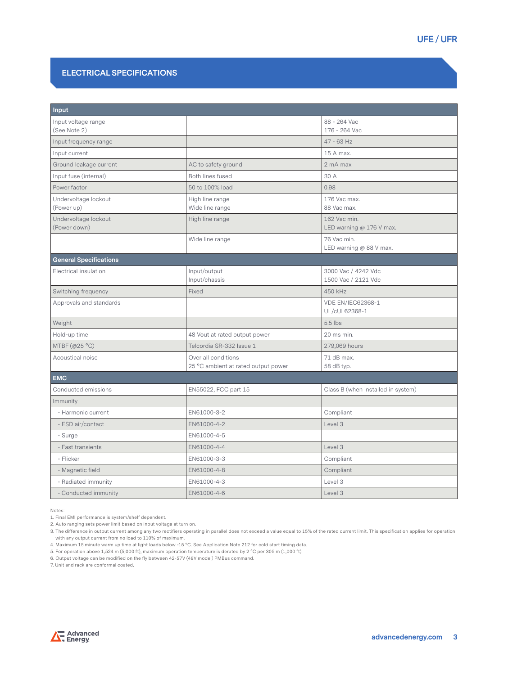# **UFE / UFR**

### **ELECTRICAL SPECIFICATIONS**

| Input                                |                                                            |                                            |  |
|--------------------------------------|------------------------------------------------------------|--------------------------------------------|--|
| Input voltage range<br>(See Note 2)  |                                                            | 88 - 264 Vac<br>176 - 264 Vac              |  |
| Input frequency range                |                                                            | $47 - 63$ Hz                               |  |
| Input current                        |                                                            | 15 A max.                                  |  |
| Ground leakage current               | AC to safety ground                                        | 2 mA max                                   |  |
| Input fuse (internal)                | Both lines fused                                           | 30 A                                       |  |
| Power factor                         | 50 to 100% load                                            | 0.98                                       |  |
| Undervoltage lockout<br>(Power up)   | High line range<br>Wide line range                         | 176 Vac max.<br>88 Vac max.                |  |
| Undervoltage lockout<br>(Power down) | High line range                                            | 162 Vac min.<br>LED warning @ 176 V max.   |  |
|                                      | Wide line range                                            | 76 Vac min.<br>LED warning @ 88 V max.     |  |
| <b>General Specifications</b>        |                                                            |                                            |  |
| Electrical insulation                | Input/output<br>Input/chassis                              | 3000 Vac / 4242 Vdc<br>1500 Vac / 2121 Vdc |  |
| Switching frequency                  | Fixed                                                      | 450 kHz                                    |  |
| Approvals and standards              |                                                            | <b>VDE EN/IEC62368-1</b><br>UL/cUL62368-1  |  |
| Weight                               |                                                            | 5.5 lbs                                    |  |
| Hold-up time                         | 48 Vout at rated output power                              | 20 ms min.                                 |  |
| MTBF $(@25 °C)$                      | Telcordia SR-332 Issue 1                                   | 279,069 hours                              |  |
| Acoustical noise                     | Over all conditions<br>25 °C ambient at rated output power | 71 dB max.<br>58 dB typ.                   |  |
| <b>EMC</b>                           |                                                            |                                            |  |
| Conducted emissions                  | EN55022, FCC part 15                                       | Class B (when installed in system)         |  |
| Immunity                             |                                                            |                                            |  |
| - Harmonic current                   | EN61000-3-2                                                | Compliant                                  |  |
| - ESD air/contact                    | EN61000-4-2                                                | Level 3                                    |  |
| - Surge                              | EN61000-4-5                                                |                                            |  |
| - Fast transients                    | EN61000-4-4                                                | Level 3                                    |  |
| - Flicker                            | EN61000-3-3                                                | Compliant                                  |  |
| - Magnetic field                     | EN61000-4-8                                                | Compliant                                  |  |
| - Radiated immunity                  | EN61000-4-3                                                | Level 3                                    |  |
| - Conducted immunity                 | EN61000-4-6                                                | Level 3                                    |  |

Notes:

1. Final EMI performance is system/shelf dependent. 2. Auto ranging sets power limit based on input voltage at turn on.

3. The difference in output current among any two rectifiers operating in parallel does not exceed a value equal to 15% of the rated current limit. This specification applies for operation with any output current from no load to 110% of maximum.

4. Maximum 15 minute warm up time at light loads below -15 °C. See Application Note 212 for cold start timing data.

5. For operation above 1,524 m (5,000 ft), maximum operation temperature is derated by 2 °C per 305 m (1,000 ft).

6. Output voltage can be modified on the fly between 42-57V (48V model) PMBus command.

7. Unit and rack are conformal coated.

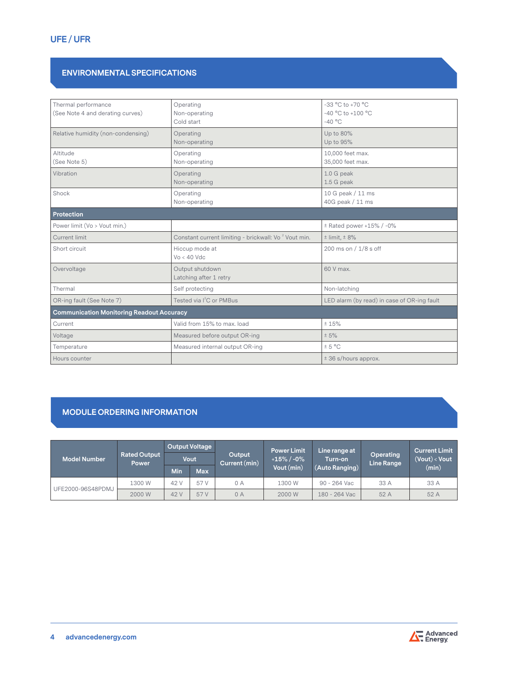# **ENVIRONMENTAL SPECIFICATIONS**

| Thermal performance<br>(See Note 4 and derating curves) | Operating<br>Non-operating                                       | $-33$ °C to $+70$ °C<br>$-40$ °C to $+100$ °C |
|---------------------------------------------------------|------------------------------------------------------------------|-----------------------------------------------|
|                                                         | Cold start                                                       | $-40$ °C                                      |
| Relative humidity (non-condensing)                      | Operating<br>Non-operating                                       | Up to 80%<br>Up to 95%                        |
| Altitude<br>(See Note 5)                                | Operating<br>Non-operating                                       | 10,000 feet max.<br>35,000 feet max.          |
| Vibration                                               | Operating<br>Non-operating                                       | 1.0 G peak<br>1.5 G peak                      |
| Shock                                                   | Operating<br>Non-operating                                       | 10 G peak / 11 ms<br>40G peak / 11 ms         |
| Protection                                              |                                                                  |                                               |
| Power limit (Vo > Vout min.)                            |                                                                  | $±$ Rated power +15% / -0%                    |
| Current limit                                           | Constant current limiting - brickwall: Vo <sup>2</sup> Vout min. | $±$ limit, $±$ 8%                             |
| Short circuit                                           | Hiccup mode at<br>$Vo < 40$ Vdc                                  | 200 ms on / 1/8 s off                         |
| Overvoltage                                             | Output shutdown<br>Latching after 1 retry                        | 60 V max.                                     |
| Thermal                                                 | Self protecting                                                  | Non-latching                                  |
| OR-ing fault (See Note 7)                               | Tested via I <sup>2</sup> C or PMBus                             | LED alarm (by read) in case of OR-ing fault   |
| <b>Communication Monitoring Readout Accuracy</b>        |                                                                  |                                               |
| Current                                                 | Valid from 15% to max. load                                      | ± 15%                                         |
| Voltage                                                 | Measured before output OR-ing                                    | ± 5%                                          |
| Temperature                                             | Measured internal output OR-ing                                  | ± 5 °C                                        |
| Hours counter                                           |                                                                  | $± 36$ s/hours approx.                        |

# **MODULE ORDERING INFORMATION**

| <b>Model Number</b> | <b>Rated Output</b><br><b>Power</b> |      | <b>Output Voltage</b><br>Output<br><b>Vout</b><br>Current (min) |    | <b>Power Limit</b><br>$+15\%$ / -0% | Line range at<br>Turn-on | <b>Operating</b><br>Line Range | <b>Current Limit</b><br>$($ Vout $)$ < Vout |
|---------------------|-------------------------------------|------|-----------------------------------------------------------------|----|-------------------------------------|--------------------------|--------------------------------|---------------------------------------------|
|                     |                                     | Min  | <b>Max</b>                                                      |    | Vout (min)                          | (Auto Ranging)           |                                | (min)                                       |
|                     | 1300W                               | 42 V | 57 V                                                            | 0A | 1300 W                              | 90 - 264 Vac             | 33 A                           | 33 A                                        |
| UFE2000-96S48PDMJ   | 2000 W                              | 42 V | 57 V                                                            | 0A | 2000 W                              | 180 - 264 Vac            | 52 A                           | 52 A                                        |

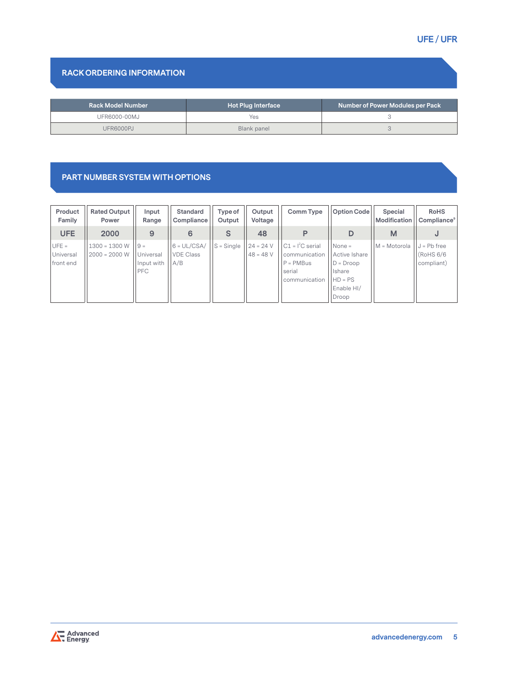# **RACK ORDERING INFORMATION**

| <b>Rack Model Number</b> | <b>Hot Plug Interface</b> | Number of Power Modules per Pack |
|--------------------------|---------------------------|----------------------------------|
| <b>UFR6000-00MJ</b>      | Yes.                      |                                  |
| UFR6000PJ                | Blank panel               |                                  |

# **PART NUMBER SYSTEM WITH OPTIONS**

| Product<br>Family                 | <b>Rated Output</b><br>Power       | Input<br>Range                          | Standard<br>Compliance                   | Type of<br>Output | Output<br>Voltage          | Comm Type                                                                     | Option Code                                                                            | Special<br>Modification | <b>RoHS</b><br>Compliance                 |
|-----------------------------------|------------------------------------|-----------------------------------------|------------------------------------------|-------------------|----------------------------|-------------------------------------------------------------------------------|----------------------------------------------------------------------------------------|-------------------------|-------------------------------------------|
| UFE                               | 2000                               | 9                                       | 6                                        | S                 | 48                         | P                                                                             | D                                                                                      | M                       | J                                         |
| $UFE =$<br>Universal<br>front end | $1300 = 1300 W$<br>$2000 = 2000 W$ | $9 =$<br>Universal<br>Input with<br>PFC | $6 = UL/CSA/$<br><b>VDE Class</b><br>A/B | $S =$ Single      | $24 = 24 V$<br>$48 = 48$ V | $C1 = l^2C$ serial<br>communication<br>$P = PMBus$<br>serial<br>communication | $None =$<br>Active Ishare<br>$D = Droom$<br>Ishare<br>$HD = PS$<br>Enable HI/<br>Droop | $M = Motorola$          | $J = Pb$ free<br>(RoHS 6/6)<br>compliant) |

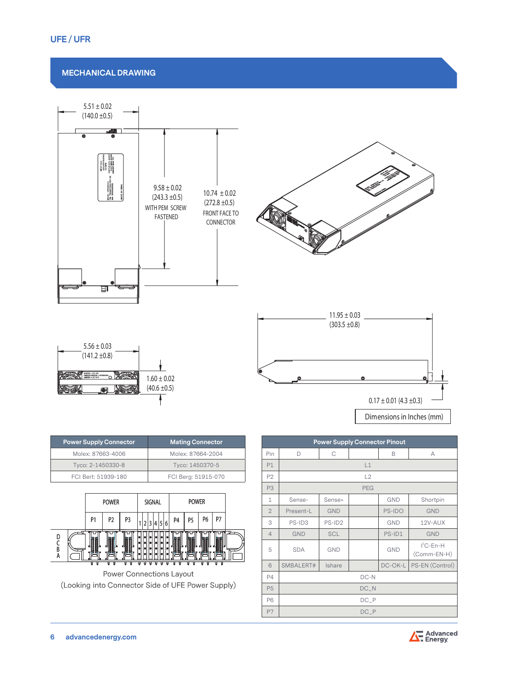#### **MECHANICAL DRAWING**





Power Connections Layout (Looking into Connector Side of UFE Power Supply)

| <b>Power Supply Connector Pinout</b> |            |            |            |            |                             |  |
|--------------------------------------|------------|------------|------------|------------|-----------------------------|--|
| Pin                                  | D          | C          |            | B          | A                           |  |
| P1                                   |            |            | L1         |            |                             |  |
| P <sub>2</sub>                       |            |            | L2         |            |                             |  |
| P <sub>3</sub>                       |            |            | <b>PEG</b> |            |                             |  |
| $\mathbf{1}$                         | Sense-     | Sense+     |            | <b>GND</b> | Shortpin                    |  |
| $\overline{2}$                       | Present-L  | <b>GND</b> |            | PS-IDO     | <b>GND</b>                  |  |
| 3                                    | PS-ID3     | PS-ID2     |            | <b>GND</b> | 12V-AUX                     |  |
| $\overline{4}$                       | <b>GND</b> | <b>SCL</b> |            | PS-ID1     | <b>GND</b>                  |  |
| 5                                    | <b>SDA</b> | <b>GND</b> |            | <b>GND</b> | $I^2C$ -En-H<br>(Comm-EN-H) |  |
| 6                                    | SMBALERT#  | Ishare     |            | DC-OK-L    | PS-EN (Control)             |  |
| <b>P4</b>                            |            |            | DC-N       |            |                             |  |
| P <sub>5</sub>                       | $DC_N$     |            |            |            |                             |  |
| <b>P6</b>                            | $DC_P$     |            |            |            |                             |  |
| P7                                   |            |            | $DC_P$     |            |                             |  |

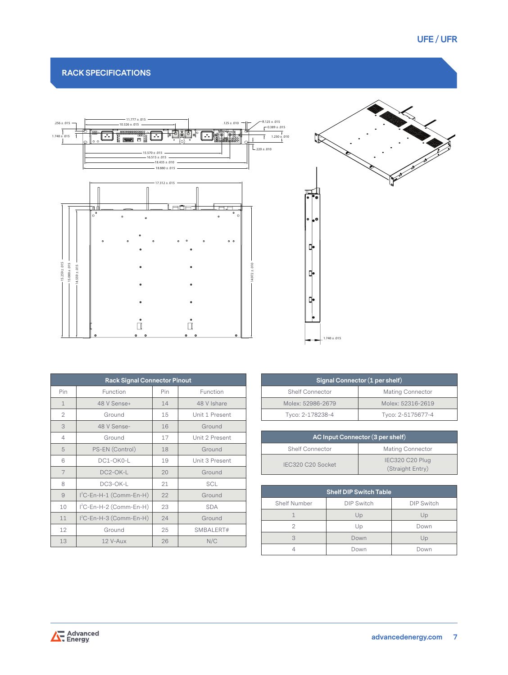# **RACK SPECIFICATIONS**



| <b>Rack Signal Connector Pinout</b> |                                     |     |                |  |  |  |  |
|-------------------------------------|-------------------------------------|-----|----------------|--|--|--|--|
| Pin                                 | Function                            | Pin | Function       |  |  |  |  |
| $\mathbf{1}$                        | 48 V Sense+                         | 14  | 48 V Ishare    |  |  |  |  |
| 2                                   | Ground                              | 15  | Unit 1 Present |  |  |  |  |
| 3                                   | 48 V Sense-                         | 16  | Ground         |  |  |  |  |
| $\overline{4}$                      | Ground                              | 17  | Unit 2 Present |  |  |  |  |
| 5                                   | PS-EN (Control)                     | 18  | Ground         |  |  |  |  |
| 6                                   | DC1-OK0-L                           | 19  | Unit 3 Present |  |  |  |  |
| 7                                   | DC2-OK-L                            | 20  | Ground         |  |  |  |  |
| 8                                   | DC3-OK-L                            | 21  | <b>SCL</b>     |  |  |  |  |
| 9                                   | I <sup>2</sup> C-En-H-1 (Comm-En-H) | 22  | Ground         |  |  |  |  |
| 10                                  | I <sup>2</sup> C-En-H-2 (Comm-En-H) | 23  | <b>SDA</b>     |  |  |  |  |
| 11                                  | I <sup>2</sup> C-En-H-3 (Comm-En-H) | 24  | Ground         |  |  |  |  |
| 12                                  | Ground                              | 25  | SMBALERT#      |  |  |  |  |
| 13                                  | 12 V-Aux                            | 26  | N/C            |  |  |  |  |



| Signal Connector (1 per shelf) |                         |  |  |  |  |
|--------------------------------|-------------------------|--|--|--|--|
| <b>Shelf Connector</b>         | <b>Mating Connector</b> |  |  |  |  |
| Molex: 52986-2679              | Molex: 52316-2619       |  |  |  |  |
| Tyco: 2-178238-4               | Tyco: 2-5175677-4       |  |  |  |  |

| AC Input Connector (3 per shelf)           |                                     |  |  |  |  |
|--------------------------------------------|-------------------------------------|--|--|--|--|
| Mating Connector<br><b>Shelf Connector</b> |                                     |  |  |  |  |
| IEC320 C20 Socket                          | IEC320 C20 Plug<br>(Straight Entry) |  |  |  |  |

| <b>Shelf DIP Switch Table</b> |                   |                   |  |  |  |  |
|-------------------------------|-------------------|-------------------|--|--|--|--|
| <b>Shelf Number</b>           | <b>DIP Switch</b> | <b>DIP Switch</b> |  |  |  |  |
|                               | Up                | Up                |  |  |  |  |
|                               | Up                | Down              |  |  |  |  |
|                               | Down              | Up                |  |  |  |  |
|                               | Down              | Down              |  |  |  |  |

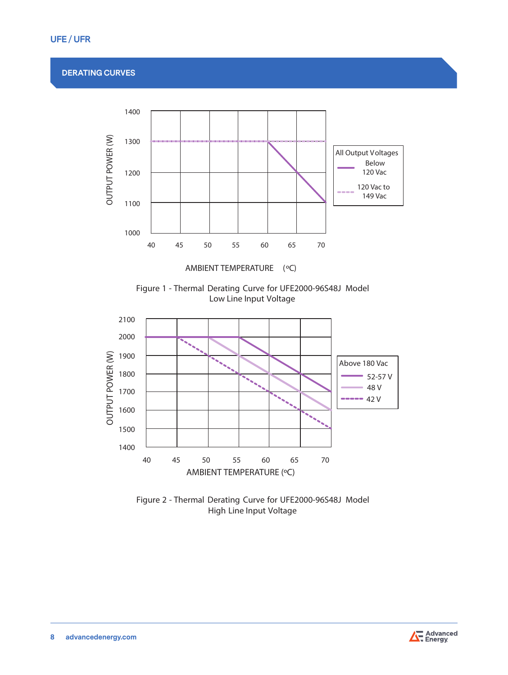# **UFE / UFR**

# **DERATING CURVES**